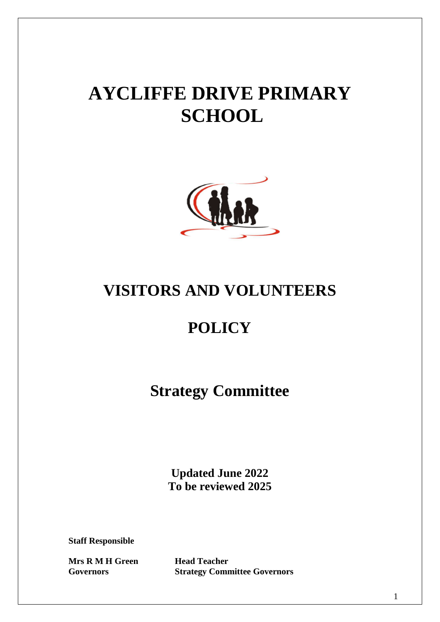# **AYCLIFFE DRIVE PRIMARY SCHOOL**



# **VISITORS AND VOLUNTEERS**

# **POLICY**

**Strategy Committee**

**Updated June 2022 To be reviewed 2025**

**Staff Responsible**

**Mrs R M H Green Head Teacher** 

**Governors Strategy Committee Governors**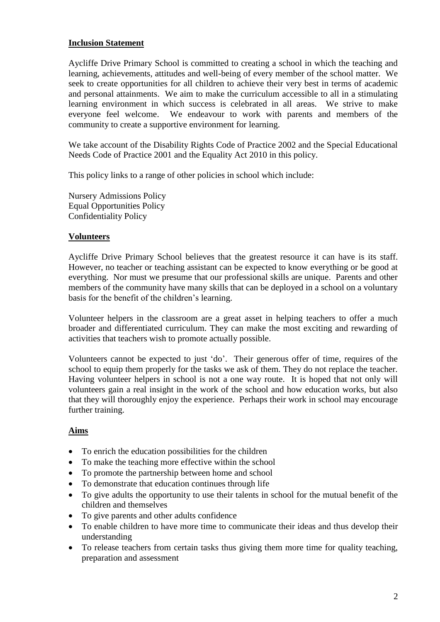## **Inclusion Statement**

Aycliffe Drive Primary School is committed to creating a school in which the teaching and learning, achievements, attitudes and well-being of every member of the school matter. We seek to create opportunities for all children to achieve their very best in terms of academic and personal attainments. We aim to make the curriculum accessible to all in a stimulating learning environment in which success is celebrated in all areas. We strive to make everyone feel welcome. We endeavour to work with parents and members of the community to create a supportive environment for learning.

We take account of the Disability Rights Code of Practice 2002 and the Special Educational Needs Code of Practice 2001 and the Equality Act 2010 in this policy.

This policy links to a range of other policies in school which include:

Nursery Admissions Policy Equal Opportunities Policy Confidentiality Policy

### **Volunteers**

Aycliffe Drive Primary School believes that the greatest resource it can have is its staff. However, no teacher or teaching assistant can be expected to know everything or be good at everything. Nor must we presume that our professional skills are unique. Parents and other members of the community have many skills that can be deployed in a school on a voluntary basis for the benefit of the children's learning.

Volunteer helpers in the classroom are a great asset in helping teachers to offer a much broader and differentiated curriculum. They can make the most exciting and rewarding of activities that teachers wish to promote actually possible.

Volunteers cannot be expected to just 'do'. Their generous offer of time, requires of the school to equip them properly for the tasks we ask of them. They do not replace the teacher. Having volunteer helpers in school is not a one way route. It is hoped that not only will volunteers gain a real insight in the work of the school and how education works, but also that they will thoroughly enjoy the experience. Perhaps their work in school may encourage further training.

### **Aims**

- To enrich the education possibilities for the children
- To make the teaching more effective within the school
- To promote the partnership between home and school
- To demonstrate that education continues through life
- To give adults the opportunity to use their talents in school for the mutual benefit of the children and themselves
- To give parents and other adults confidence
- To enable children to have more time to communicate their ideas and thus develop their understanding
- To release teachers from certain tasks thus giving them more time for quality teaching, preparation and assessment